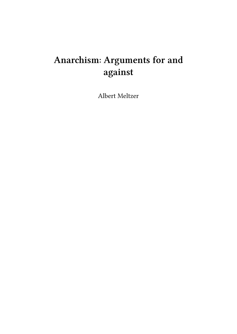# **Anarchism: Arguments for and against**

Albert Meltzer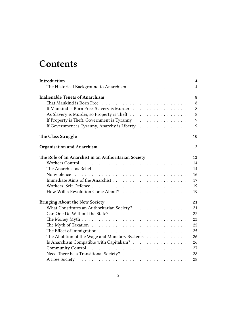## **Contents**

| Introduction                                                                             | $\overline{4}$ |
|------------------------------------------------------------------------------------------|----------------|
| The Historical Background to Anarchism                                                   | $\overline{4}$ |
| Inalienable Tenets of Anarchism                                                          | 8              |
| That Mankind is Born Free                                                                | 8              |
| If Mankind is Born Free, Slavery is Murder                                               | 8              |
|                                                                                          | 8              |
| If Property is Theft, Government is Tyranny                                              | 9              |
| If Government is Tyranny, Anarchy is Liberty                                             | 9              |
| The Class Struggle                                                                       | 10             |
| <b>Organisation and Anarchism</b>                                                        | 12             |
| The Role of an Anarchist in an Authoritarian Society                                     | 13             |
|                                                                                          | 14             |
|                                                                                          | 14             |
|                                                                                          | 16             |
|                                                                                          | 17             |
|                                                                                          | 19             |
|                                                                                          | 19             |
| <b>Bringing About the New Society</b>                                                    | 21             |
| What Constitutes an Authoritarian Society?                                               | 21             |
|                                                                                          | 22             |
| The Money Myth $\dots \dots \dots \dots \dots \dots \dots \dots \dots \dots \dots \dots$ | 23             |
|                                                                                          | 25             |
|                                                                                          | 25             |
| The Abolition of the Wage and Monetary Systems                                           | 26             |
| Is Anarchism Compatible with Capitalism?                                                 | 26             |
|                                                                                          | 27             |
|                                                                                          | 28             |
|                                                                                          | 28             |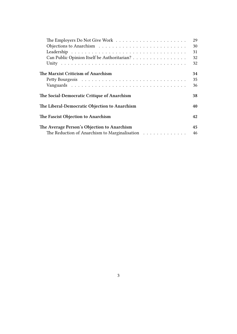|                                               | 29 |
|-----------------------------------------------|----|
|                                               | 30 |
|                                               | 31 |
| Can Public Opinion Itself be Authoritarian?   | 32 |
|                                               | 32 |
| The Marxist Criticism of Anarchism            | 34 |
|                                               | 35 |
|                                               | 36 |
| The Social-Democratic Critique of Anarchism   | 38 |
| The Liberal-Democratic Objection to Anarchism | 40 |
| The Fascist Objection to Anarchism            | 42 |
| The Average Person's Objection to Anarchism   | 45 |
| The Reduction of Anarchism to Marginalisation | 46 |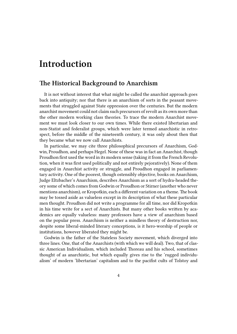### <span id="page-3-0"></span>**Introduction**

#### <span id="page-3-1"></span>**The Historical Background to Anarchism**

It is not without interest that what might be called the anarchist approach goes back into antiquity; nor that there is an anarchism of sorts in the peasant movements that struggled against State oppression over the centuries. But the modern anarchist movement could not claim such precursors of revolt as its own more than the other modern working class theories. To trace the modern Anarchist movement we must look closer to our own times. While there existed libertarian and non-Statist and federalist groups, which were later termed anarchistic in retrospect, before the middle of the nineteenth century, it was only about then that they became what we now call Anarchists.

In particular, we may cite three philosophical precursors of Anarchism, Godwin, Proudhon, and perhaps Hegel. None of these was in fact an Anarchist, though Proudhon first used the word in its modern sense (taking it from the French Revolution, when it was first used politically and not entirely pejoratively). None of them engaged in Anarchist activity or struggle, and Proudhon engaged in parliamentary activity. One of the poorest, though ostensibly objective, books on Anarchism, Judge Eltzbacher's Anarchism, describes Anarchism as a sort of hydra-headed theory some of which comes from Godwin or Proudhon or Stirner (another who never mentions anarchism), or Kropotkin, each a different variation on a theme. The book may be tossed aside as valueless except in its description of what these particular men thought. Proudhon did not write a programme for all time, nor did Kropotkin in his time write for a sect of Anarchists. But many other books written by academics are equally valueless: many professors have a view of anarchism based on the popular press. Anarchism is neither a mindless theory of destruction nor, despite some liberal-minded literary conceptions, is it hero-worship of people or institutions, however liberated they might be.

Godwin is the father of the Stateless Society movement, which diverged into three lines. One, that of the Anarchists (with which we will deal). Two, that of classic American Individualism, which included Thoreau and his school, sometimes thought of as anarchistic, but which equally gives rise to the 'rugged individualism' of modern 'libertarian' capitalism and to the pacifist cults of Tolstoy and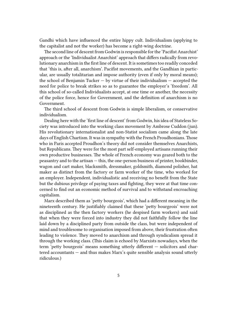Gandhi which have influenced the entire hippy cult. Individualism (applying to the capitalist and not the worker) has become a right-wing doctrine.

The second line of descent from Godwin is responsible for the 'Pacifist Anarchist' approach or the 'Individualist Anarchist' approach that differs radically from revolutionary anarchism in the first line of descent. It is sometimes too readily conceded that 'this is, after all, anarchism'. Pacifist movements, and the Gandhian in particular, are usually totalitarian and impose authority (even if only by moral means); the school of Benjamin Tucker  $-$  by virtue of their individualism  $-$  accepted the need for police to break strikes so as to guarantee the employer's 'freedom'. All this school of so-called Individualists accept, at one time or another, the necessity of the police force, hence for Government, and the definition of anarchism is no Government.

The third school of descent from Godwin is simple liberalism, or conservative individualism.

Dealing here with the 'first line of descent' from Godwin, his idea of Stateless Society was introduced into the working class movement by Ambrose Cuddon (jun). His revolutionary internationalist and non-Statist socialism came along the late days of English Chartism. It was in sympathy with the French Proudhonians. Those who in Paris accepted Proudhon's theory did not consider themselves Anarchists, but Republicans. They were for the most part self-employed artisans running their own productive businesses. The whole of French economy was geared both to the peasantry and to the artisan — this, the one-person business of printer, bookbinder, wagon and cart maker, blacksmith, dressmaker, goldsmith, diamond polisher, hat maker as distinct from the factory or farm worker of the time, who worked for an employer. Independent, individualistic and receiving no benefit from the State but the dubious privilege of paying taxes and fighting, they were at that time concerned to find out an economic method of survival and to withstand encroaching capitalism.

Marx described them as 'petty bourgeois', which had a different meaning in the nineteenth century. He justifiably claimed that these 'petty bourgeois' were not as disciplined as the then factory workers (he despised farm workers) and said that when they were forced into industry they did not faithfully follow the line laid down by a disciplined party from outside the class, but were independent of mind and troublesome to organisation imposed from above, their frustration often leading to violence. They moved to anarchism and through syndicalism spread it through the working class. (This claim is echoed by Marxists nowadays, when the term 'petty bourgeois' means something utterly different — solicitors and chartered accountants — and thus makes Marx's quite sensible analysis sound utterly ridiculous.)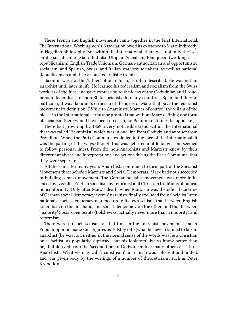These French and English movements came together in the First International. The International Workingmen's Association owed its existence to Marx, indirectly to Hegelian philosophy. But within the International, there was not only the 'scientific socialism' of Marx, but also Utopian Socialism, Blanquism (working-class republicanism), English Trade Unionism, German-authoritarian and opportunistic socialism, and Spanish, Swiss, and Italian stateless socialism, as well as national Republicanism and the various federalistic trends.

Bakunin was not the 'father' of anarchism, as often described. He was not an anarchist until later in life. He learned his federalism and socialism from the Swiss workers of the Jura, and gave expression to the ideas of the Godwinian and Proudhonian 'federalists', or non-State socialists. In many countries, Spain and Italy in particular, it was Bakunin's criticism of the ideas of Marx that gave the federalist movement its definition. (While to Anarchists, Marx is of course "the villain of the piece" in the International, it must be granted that without Marx defining one form of socialism there would have been no clash, no Bakunin defining the opposite.)

There had grown up by 1869 a very noticeable trend within the International that was called 'Bakuninist' which was in one line from Godwin and another from Proudhon. When the Paris Commune exploded in the face of the International, it was the parting of the ways (though this was deferred a little longer and seemed to follow personal lines). From the non-Anarchists and Marxists knew by their different analyses and interpretations and actions during the Paris Commune, that they were separate.

All the same, for many years Anarchists continued to form part of the Socialist Movement that included Marxists and Social-Democrats. Marx had not succeeded in building a mass movement. The German socialist movement was more influenced by Lassalle; English socialism by reformist and Christian traditions of radical nonconformity. Only after Marx's death, when Marxism was the official doctrine of German social-democracy, were Anarchists finally excluded from Socialist Internationals; social-democracy marched on to its own schism, that between English Liberalism on the one hand, and social-democracy on the other; and that between 'majority' Social-Democrats (Bolsheviks, actually never more than a minority) and reformism.

There were no such schisms at that time in the anarchist movement as such. Popular opinion made such figures as Tolstoy into (what he never claimed to be) an anarchist (he was not; neither in the normal sense of the words was he a Christian or a Pacifist, as popularly supposed, but his idolators always know better than he), but derived from the 'second line' of Godwinism like many other caricature-Anarchists. What we may call 'mainstream' anarchism was coherent and united, and was given body by the writings of a number of theoreticians, such as Peter Kropotkin.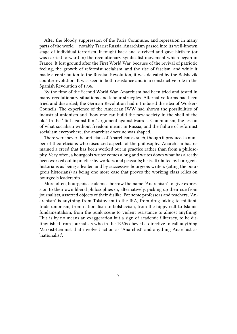After the bloody suppression of the Paris Commune, and repression in many parts of the world — notably Tsarist Russia, Anarchism passed into its well-known stage of individual terrorism. It fought back and survived and gave birth to (or was carried forward in) the revolutionary syndicalist movement which began in France. It lost ground after the First World War, because of the revival of patriotic feeling, the growth of reformist socialism, and the rise of fascism; and while it made a contribution to the Russian Revolution, it was defeated by the Bolshevik counterrevolution. It was seen in both resistance and in a constructive role in the Spanish Revolution of 1936.

By the time of the Second World War, Anarchism had been tried and tested in many revolutionary situations and labour struggles. Alternative forms had been tried and discarded; the German Revolution had introduced the idea of Workers Councils. The experience of the American IWW had shown the possibilities of industrial unionism and 'how one can build the new society in the shell of the old'. In the 'flint against flint' argument against Marxist Communism, the lesson of what socialism without freedom meant in Russia, and the failure of reformist socialism everywhere, the anarchist doctrine was shaped.

There were never theoreticians of Anarchism as such, though it produced a number of theoreticians who discussed aspects of the philosophy. Anarchism has remained a creed that has been worked out in practice rather than from a philosophy. Very often, a bourgeois writer comes along and writes down what has already been worked out in practice by workers and peasants; he is attributed by bourgeois historians as being a leader, and by successive bourgeois writers (citing the bourgeois historians) as being one more case that proves the working class relies on bourgeois leadership.

More often, bourgeois academics borrow the name 'Anarchism' to give expression to their own liberal philosophies or, alternatively, picking up their cue from journalists, assorted objects of their dislike. For some professors and teachers, 'Anarchism' is anything from Tolstoyism to the IRA, from drug-taking to militanttrade unionism, from nationalism to bolshevism, from the hippy cult to Islamic fundamentalism, from the punk scene to violent resistance to almost anything! This is by no means an exaggeration but a sign of academic illiteracy, to be distinguished from journalists who in the 1960s obeyed a directive to call anything Marxist-Leninist that involved action as 'Anarchist' and anything Anarchist as 'nationalist'.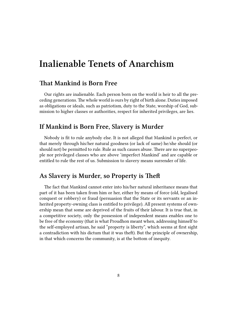## <span id="page-7-0"></span>**Inalienable Tenets of Anarchism**

#### <span id="page-7-1"></span>**That Mankind is Born Free**

Our rights are inalienable. Each person born on the world is heir to all the preceding generations. The whole world is ours by right of birth alone. Duties imposed as obligations or ideals, such as patriotism, duty to the State, worship of God, submission to higher classes or authorities, respect for inherited privileges, are lies.

#### <span id="page-7-2"></span>**If Mankind is Born Free, Slavery is Murder**

Nobody is fit to rule anybody else. It is not alleged that Mankind is perfect, or that merely through his/her natural goodness (or lack of same) he/she should (or should not) be permitted to rule. Rule as such causes abuse. There are no superpeople nor privileged classes who are above 'imperfect Mankind' and are capable or entitled to rule the rest of us. Submission to slavery means surrender of life.

#### <span id="page-7-3"></span>**As Slavery is Murder, so Property is Theft**

The fact that Mankind cannot enter into his/her natural inheritance means that part of it has been taken from him or her, either by means of force (old, legalised conquest or robbery) or fraud (persuasion that the State or its servants or an inherited property-owning class is entitled to privilege). All present systems of ownership mean that some are deprived of the fruits of their labour. It is true that, in a competitive society, only the possession of independent means enables one to be free of the economy (that is what Proudhon meant when, addressing himself to the self-employed artisan, he said "property is liberty", which seems at first sight a contradiction with his dictum that it was theft). But the principle of ownership, in that which concerns the community, is at the bottom of inequity.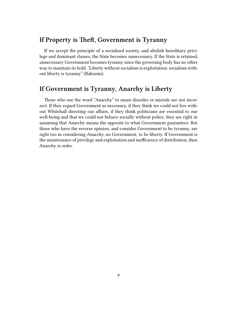#### <span id="page-8-0"></span>**If Property is Theft, Government is Tyranny**

If we accept the principle of a socialised society, and abolish hereditary privilege and dominant classes, the State becomes unnecessary. If the State is retained, unnecessary Government becomes tyranny since the governing body has no other way to maintain its hold. "Liberty without socialism is exploitation: socialism without liberty is tyranny" (Bakunin).

#### <span id="page-8-1"></span>**If Government is Tyranny, Anarchy is Liberty**

Those who use the word "Anarchy" to mean disorder or misrule are not incorrect. If they regard Government as necessary, if they think we could not live without Whitehall directing our affairs, if they think politicians are essential to our well-being and that we could not behave socially without police, they are right in assuming that Anarchy means the opposite to what Government guarantees. But those who have the reverse opinion, and consider Government to be tyranny, are right too in considering Anarchy, no Government, to be liberty. If Government is the maintenance of privilege and exploitation and inefficiency of distribution, then Anarchy is order.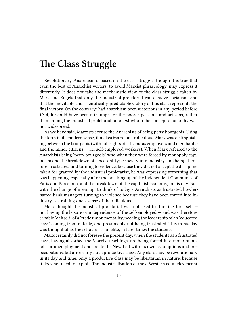## <span id="page-9-0"></span>**The Class Struggle**

Revolutionary Anarchism is based on the class struggle, though it is true that even the best of Anarchist writers, to avoid Marxist phraseology, may express it differently. It does not take the mechanistic view of the class struggle taken by Marx and Engels that only the industrial proletariat can achieve socialism, and that the inevitable and scientifically-predictable victory of this class represents the final victory. On the contrary: had anarchism been victorious in any period before 1914, it would have been a triumph for the poorer peasants and artisans, rather than among the industrial proletariat amongst whom the concept of anarchy was not widespread.

As we have said, Marxists accuse the Anarchists of being petty bourgeois. Using the term in its modern sense, it makes Marx look ridiculous. Marx was distinguishing between the bourgeois (with full rights of citizens as employers and merchants) and the minor citizens — i.e. self-employed workers). When Marx referred to the Anarchists being 'petty bourgeois' who when they were forced by monopoly capitalism and the breakdown of a peasant-type society into industry, and being therefore 'frustrated' and turning to violence, because they did not accept the discipline taken for granted by the industrial proletariat, he was expressing something that was happening, especially after the breaking up of the independent Communes of Paris and Barcelona, and the breakdown of the capitalist economy, in his day. But, with the change of meaning, to think of today's Anarchists as frustrated bowlerhatted bank managers turning to violence because they have been forced into industry is straining one's sense of the ridiculous.

Marx thought the industrial proletariat was not used to thinking for itself not having the leisure or independence of the self-employed — and was therefore capable 'of itself' of a 'trade union mentality, needing the leadership of an 'educated class' coming from outside, and presumably not being frustrated. This in his day was thought of as the scholars as an elite, in later times the students.

Marx certainly did not foresee the present day, when the students as a frustrated class, having absorbed the Marxist teachings, are being forced into monotonous jobs or unemployment and create the New Left with its own assumptions and preoccupations, but are clearly not a productive class. Any class may be revolutionary in its day and time; only a productive class may be libertarian in nature, because it does not need to exploit. The industrialisation of most Western countries meant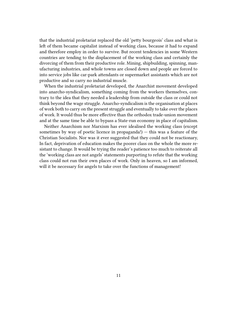that the industrial proletariat replaced the old 'petty bourgeois' class and what is left of them became capitalist instead of working class, because it had to expand and therefore employ in order to survive. But recent tendencies in some Western countries are tending to the displacement of the working class and certainly the divorcing of them from their productive role. Mining, shipbuilding, spinning, manufacturing industries, and whole towns are closed down and people are forced to into service jobs like car-park attendants or supermarket assistants which are not productive and so carry no industrial muscle.

When the industrial proletariat developed, the Anarchist movement developed into anarcho-syndicalism, something coming from the workers themselves, contrary to the idea that they needed a leadership from outside the class or could not think beyond the wage struggle. Anarcho-syndicalism is the organisation at places of work both to carry on the present struggle and eventually to take over the places of work. It would thus be more effective than the orthodox trade-union movement and at the same time be able to bypass a State-run economy in place of capitalism.

Neither Anarchism nor Marxism has ever idealised the working class (except sometimes by way of poetic licence in propaganda!)  $-$  this was a feature of the Christian Socialists. Nor was it ever suggested that they could not be reactionary, In fact, deprivation of education makes the poorer class on the whole the more resistant to change. It would be trying the reader's patience too much to reiterate all the 'working class are not angels' statements purporting to refute that the working class could not run their own places of work. Only in heaven, so I am informed, will it be necessary for angels to take over the functions of management!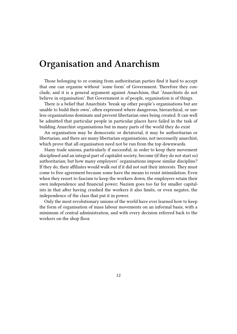### <span id="page-11-0"></span>**Organisation and Anarchism**

Those belonging to or coming from authoritarian parties find it hard to accept that one can organise without 'some form' of Government. Therefore they conclude, and it is a general argument against Anarchism, that 'Anarchists do not believe in organisation'. But Government is of people, organisation is of things.

There is a belief that Anarchists 'break up other people's organisations but are unable to build their own', often expressed where dangerous, hierarchical, or useless organisations dominate and prevent libertarian ones being created. It can well be admitted that particular people in particular places have failed in the task of building Anarchist organisations but in many parts of the world they do exist

An organisation may be democratic or dictatorial, it may be authoritarian or libertarian, and there are many libertarian organisations, not necessarily anarchist, which prove that all organisation need not be run from the top downwards.

Many trade unions, particularly if successful, in order to keep their movement disciplined and an integral part of capitalist society, become (if they do not start so) authoritarian; but how many employers' organisations impose similar discipline? If they do, their affiliates would walk out if it did not suit their interests. They must come to free agreement because some have the means to resist intimidation. Even when they resort to fascism to keep the workers down, the employers retain their own independence and financial power; Nazism goes too far for smaller capitalists in that after having crushed the workers it also limits, or even negates, the independence of the class that put it in power.

Only the most revolutionary unions of the world have ever learned how to keep the form of organisation of mass labour movements on an informal basis, with a minimum of central administration, and with every decision referred back to the workers on the shop floor.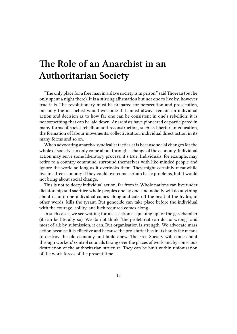## <span id="page-12-0"></span>**The Role of an Anarchist in an Authoritarian Society**

"The only place for a free man in a slave society is in prison," said Thoreau (but he only spent a night there). It is a stirring affirmation but not one to live by, however true it is. The revolutionary must be prepared for persecution and prosecution, but only the masochist would welcome it. It must always remain an individual action and decision as to how far one can be consistent in one's rebellion: it is not something that can be laid down. Anarchists have pioneered or participated in many forms of social rebellion and reconstruction, such as libertarian education, the formation of labour movements, collectivisation, individual direct action in its many forms and so on.

When advocating anarcho-syndicalist tactics, it is because social changes for the whole of society can only come about through a change of the economy. Individual action may serve some liberatory process, it's true. Individuals, for example, may retire to a country commune, surround themselves with like-minded people and ignore the world so long as it overlooks them. They might certainly meanwhile live in a free economy if they could overcome certain basic problems, but it would not bring about social change.

This is not to decry individual action, far from it. Whole nations can live under dictatorship and sacrifice whole peoples one by one, and nobody will do anything about it until one individual comes along and cuts off the head of the hydra, in other words, kills the tyrant. But genocide can take place before the individual with the courage, ability, and luck required comes along.

In such cases, we see waiting for mass action as queuing up for the gas chamber (it can be literally so). We do not think "the proletariat can do no wrong" and most of all; by submission, it can. But organisation is strength. We advocate mass action because it is effective and because the proletariat has in its hands the means to destroy the old economy and build anew. The Free Society will come about through workers' control councils taking over the places of work and by conscious destruction of the authoritarian structure. They can be built within unionisation of the work-forces of the present time.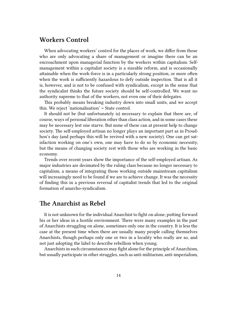#### <span id="page-13-0"></span>**Workers Control**

When advocating workers' control for the places of work, we differ from those who are only advocating a share of management or imagine there can be an encroachment upon managerial function by the workers within capitalism. Selfmanagement within a capitalist society is a sizeable reform, and is occasionally attainable when the work-force is in a particularly strong position, or more often when the work is sufficiently hazardous to defy outside inspection. That is all it is, however, and is not to be confused with syndicalism, except in the sense that the syndicalist thinks the future society should be self-controlled. We want no authority supreme to that of the workers, not even one of their delegates.

This probably means breaking industry down into small units, and we accept this. We reject 'nationalisation' = State control.

It should not be (but unfortunately is) necessary to explain that there are, of course, ways of personal liberation other than class action, and in some cases these may be necessary lest one starve. But none of these can at present help to change society. The self-employed artisan no longer plays an important part as in Proudhon's day (and perhaps this will be revived with a new society). One can get satisfaction working on one's own, one may have to do so by economic necessity, but the means of changing society rest with those who are working in the basic economy.

Trends over recent years show the importance of the self-employed artisan. As major industries are decimated by the ruling class because no longer necessary to capitalism, a means of integrating those working outside mainstream capitalism will increasingly need to be found if we are to achieve change. It was the necessity of finding this in a previous reversal of capitalist trends that led to the original formation of anarcho-syndicalism.

#### <span id="page-13-1"></span>**The Anarchist as Rebel**

It is not unknown for the individual Anarchist to fight on alone, putting forward his or her ideas in a hostile environment. There were many examples in the past of Anarchists struggling on alone, sometimes only one in the country. It is less the case at the present time when there are usually many people calling themselves Anarchists, though perhaps only one or two in a locality who really are so, and not just adopting the label to describe rebellion when young.

Anarchists in such circumstances may fight alone for the principle of Anarchism, but usually participate in other struggles, such as anti-militarism, anti-imperialism,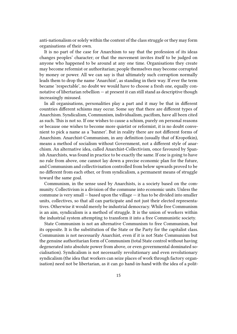anti-nationalism or solely within the content of the class struggle or they may form organisations of their own.

It is no part of the case for Anarchism to say that the profession of its ideas changes peoples' character; or that the movement invites itself to be judged on anyone who happened to be around at any one time. Organisations they create may become reformist or authoritarian; people themselves may become corrupted by money or power. All we can say is that ultimately such corruption normally leads them to drop the name 'Anarchist', as standing in their way. If ever the term became 'respectable', no doubt we would have to choose a fresh one, equally connotative of libertarian rebellion — at present it can still stand as descriptive though increasingly misused.

In all organisations, personalities play a part and it may be that in different countries different schisms may occur. Some say that there are different types of Anarchism. Syndicalism, Communism, individualism, pacifism, have all been cited as such. This is not so. If one wishes to cause a schism, purely on personal reasons or because one wishes to become more quietist or reformist, it is no doubt convenient to pick a name as a 'banner'. But in reality there are not different forms of Anarchism. Anarchist-Communism, in any definition (usually that of Kropotkin), means a method of socialism without Government, not a different style of anarchism. An alternative idea, called Anarchist-Collectivism, once favoured by Spanish Anarchists, was found in practice to be exactly the same. If one is going to have no rule from above, one cannot lay down a precise economic plan for the future, and Communism and collectivisation controlled from below upwards proved to be no different from each other, or from syndicalism, a permanent means of struggle toward the same goal.

Communism, in the sense used by Anarchists, is a society based on the community. Collectivism is a division of the commune into economic units. Unless the commune is very small  $-$  based upon the village  $-$  it has to be divided into smaller units, collectives, so that all can participate and not just their elected representatives. Otherwise it would merely be industrial democracy. While free Communism is an aim, syndicalism is a method of struggle. It is the union of workers within the industrial system attempting to transform it into a free Communistic society.

State Communism is not an alternative Communism to free Communism, but its opposite. It is the substitution of the State or the Party for the capitalist class. Communism is not necessarily Anarchist, even if it is not State Communism but the genuine authoritarian form of Communism (total State control without having degenerated into absolute power from above, or even governmental dominated socialisation). Syndicalism is not necessarily revolutionary and even revolutionary syndicalism (the idea that workers can seize places of work through factory organisation) need not be libertarian, as it can go hand-in-hand with the idea of a polit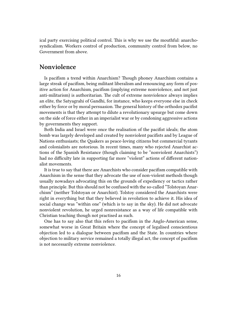ical party exercising political control. This is why we use the mouthful: anarchosyndicalism. Workers control of production, community control from below, no Government from above.

#### <span id="page-15-0"></span>**Nonviolence**

Is pacifism a trend within Anarchism? Though phoney Anarchism contains a large streak of pacifism, being militant liberalism and renouncing any form of positive action for Anarchism, pacifism (implying extreme nonviolence, and not just anti-militarism) is authoritarian. The cult of extreme nonviolence always implies an elite, the Satyagrahi of Gandhi, for instance, who keeps everyone else in check either by force or by moral persuasion. The general history of the orthodox pacifist movements is that they attempt to dilute a revolutionary upsurge but come down on the side of force either in an imperialist war or by condoning aggressive actions by governments they support.

Both India and Israel were once the realisation of the pacifist ideals; the atom bomb was largely developed and created by nonviolent pacifists and by League of Nations enthusiasts; the Quakers as peace-loving citizens but commercial tyrants and colonialists are notorious. In recent times, many who rejected Anarchist actions of the Spanish Resistance (though claiming to be "nonviolent Anarchists") had no difficulty late in supporting far more "violent" actions of different nationalist movements.

It is true to say that there are Anarchists who consider pacifism compatible with Anarchism in the sense that they advocate the use of non-violent methods though usually nowadays advocating this on the grounds of expediency or tactics rather than principle. But this should not be confused with the so-called "Tolstoyan Anarchism" (neither Tolstoyan or Anarchist). Tolstoy considered the Anarchists were right in everything but that they believed in revolution to achieve it. His idea of social change was "within one" (which is to say in the sky). He did not advocate nonviolent revolution, he urged nonresistance as a way of life compatible with Christian teaching though not practised as such.

One has to say also that this refers to pacifism in the Anglo-American sense, somewhat worse in Great Britain where the concept of legalised conscientious objection led to a dialogue between pacifism and the State. In countries where objection to military service remained a totally illegal act, the concept of pacifism is not necessarily extreme nonviolence.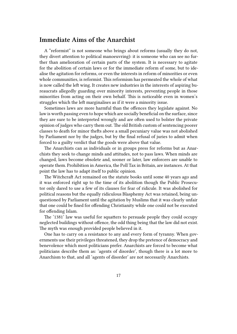#### <span id="page-16-0"></span>**Immediate Aims of the Anarchist**

A "reformist" is not someone who brings about reforms (usually they do not, they divert attention to political manoeuvring): it is someone who can see no further than amelioration of certain parts of the system. It is necessary to agitate for the abolition of certain laws or for the immediate reform of some, but to idealise the agitation for reforms, or even the interests in reform of minorities or even whole communities, is reformist. This reformism has permeated the whole of what is now called the left wing. It creates new industries in the interests of aspiring bureaucrats allegedly guarding over minority interests, preventing people in those minorities from acting on their own behalf. This is noticeable even in women's struggles which the left marginalises as if it were a minority issue.

Sometimes laws are more harmful than the offences they legislate against. No law is worth passing even to hope which are socially beneficial on the surface, since they are sure to be interpreted wrongly and are often used to bolster the private opinion of judges who carry them out. The old British custom of sentencing poorer classes to death for minor thefts above a small pecuniary value was not abolished by Parliament nor by the judges, but by the final refusal of juries to admit when forced to a guilty verdict that the goods were above that value.

The Anarchists can as individuals or in groups press for reforms but as Anarchists they seek to change minds and attitudes, not to pass laws. When minds are changed, laws become obsolete and, sooner or later, law enforcers are unable to operate them. Prohibition in America, the Poll Tax in Britain, are instances. At that point the law has to adapt itself to public opinion.

The Witchcraft Act remained on the statute books until some 40 years ago and it was enforced right up to the time of its abolition though the Public Prosecutor only dared to use a few of its clauses for fear of ridicule. It was abolished for political reasons but the equally ridiculous Blasphemy Act was retained, being unquestioned by Parliament until the agitation by Muslims that it was clearly unfair that one could be fined for offending Christianity while one could not be executed for offending Islam.

The '1381' law was useful for squatters to persuade people they could occupy neglected buildings without offence, the odd thing being that the law did not exist. The myth was enough provided people believed in it.

One has to carry on a resistance to any and every form of tyranny. When governments use their privileges threatened, they drop the pretence of democracy and benevolence which most politicians prefer. Anarchists are forced to become what politicians describe them as: 'agents of disorder', though there is a lot more to Anarchism to that, and all 'agents of disorder' are not necessarily Anarchists.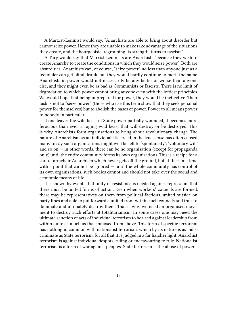A Marxist-Leninist would say, "Anarchists are able to bring about disorder but cannot seize power. Hence they are unable to make take advantage of the situations they create, and the bourgeoisie, regrouping its strength, turns to fascism".

A Tory would say that Marxist-Leninists are Anarchists "because they wish to create Anarchy to create the conditions in which they would seize power". Both are absurdities. Anarchists can, of course, "seize power" no less than anyone just as a teetotaler can get blind drunk, but they would hardly continue to merit the name. Anarchists in power would not necessarily be any better or worse than anyone else, and they might even be as bad as Communists or fascists. There is no limit of degradation to which power cannot bring anyone even with the loftiest principles. We would hope that being unprepared for power, they would be ineffective. Their task is not to "seize power" (those who use this term show that they seek personal power for themselves) but to abolish the bases of power. Power to all means power to nobody in particular.

If one leaves the wild beast of State power partially wounded, it becomes more ferocious than ever, a raging wild beast that will destroy or be destroyed. This is why Anarchists form organisations to bring about revolutionary change. The nature of Anarchism as an individualistic creed in the true sense has often caused many to say such organisations might well be left to 'spontaneity', 'voluntary will' and so on  $-$  in other words, there can be no organisation (except for propaganda only) until the entire community forms its own organisations. This is a recipe for a sort of armchair Anarchism which never gets off the ground, but at the same time with a point that cannot be ignored – until the whole community has control of its own organisations, such bodies cannot and should not take over the social and economic means of life.

It is shown by events that unity of resistance is needed against repression, that there must be united forms of action. Even when workers' councils are formed, there may be representatives on them from political factions, united outside on party lines and able to put forward a united front within such councils and thus to dominate and ultimately destroy them. That is why we need an organised movement to destroy such efforts at totalitarianism. In some cases one may need the ultimate sanction of acts of individual terrorism to be used against leadership from within quite as much as that imposed from above. This form of specific terrorism has nothing in common with nationalist terrorism, which by its nature is as indiscriminate as State terrorism, for all that it is judged in a far harsher light. Anarchist terrorism is against individual despots, ruling or endeavouring to rule. Nationalist terrorism is a form of war against peoples. State terrorism is the abuse of power.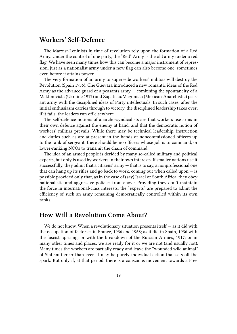#### <span id="page-18-0"></span>**Workers' Self-Defence**

The Marxist-Leninists in time of revolution rely upon the formation of a Red Army. Under the control of one party, the "Red" Army is the old army under a red flag. We have seen many times how this can become a major instrument of repression, just as a nationalist army under a new flag can also become one, sometimes even before it attains power.

The very formation of an army to supersede workers' militias will destroy the Revolution (Spain 1936). Che Guevara introduced a new romantic ideas of the Red Army as the advance guard of a peasants army  $-$  combining the spontaneity of a Makhnovista (Ukraine 1917) and Zapatista/Magonista (Mexican-Anarchistic) peasant army with the disciplined ideas of Party intellectuals. In such cases, after the initial enthusiasm carries through to victory, the disciplined leadership takes over; if it fails, the leaders run off elsewhere.

The self-defence notions of anarcho-syndicalists are that workers use arms in their own defence against the enemy at hand, and that the democratic notion of workers' militias prevails. While there may be technical leadership, instruction and duties such as are at present in the hands of noncommissioned officers up to the rank of sergeant, there should be no officers whose job is to command, or lower-ranking NCOs to transmit the chain of command.

The idea of an armed people is derided by many so-called military and political experts, but only is used by workers in their own interests. If smaller nations use it successfully, they admit that a citizens' army — that is to say, a nonprofessional one that can hang up its rifles and go back to work, coming out when called upon  $-$  is possible provided only that, as in the case of (say) Israel or South Africa, they obey nationalistic and aggressive policies from above. Providing they don't maintain the force in international-class interests, the "experts" are prepared to admit the efficiency of such an army remaining democratically controlled within its own ranks.

#### <span id="page-18-1"></span>**How Will a Revolution Come About?**

We do not know. When a revolutionary situation presents itself  $-$  as it did with the occupation of factories in France, 1936 and 1968; as it did in Spain, 1936 with the fascist uprising; or with the breakdown of the Russian Armies, 1917; or in many other times and places; we are ready for it or we are not (and usually not). Many times the workers are partially ready and leave the "wounded wild animal" of Statism fiercer than ever. It may be purely individual action that sets off the spark. But only if, at that period, there is a conscious movement towards a Free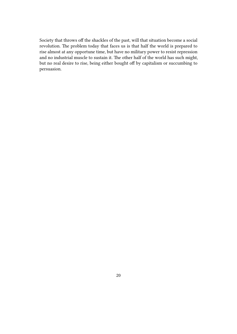Society that throws off the shackles of the past, will that situation become a social revolution. The problem today that faces us is that half the world is prepared to rise almost at any opportune time, but have no military power to resist repression and no industrial muscle to sustain it. The other half of the world has such might, but no real desire to rise, being either bought off by capitalism or succumbing to persuasion.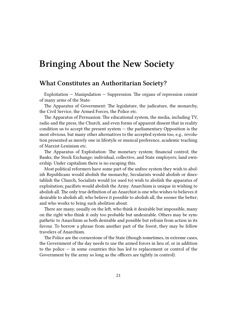### <span id="page-20-0"></span>**Bringing About the New Society**

#### <span id="page-20-1"></span>**What Constitutes an Authoritarian Society?**

Exploitation  $-$  Manipulation  $-$  Suppression. The organs of repression consist of many arms of the State:

The Apparatus of Government: The legislature, the judicature, the monarchy, the Civil Service, the Armed Forces, the Police etc.

The Apparatus of Persuasion: The educational system, the media, including TV, radio and the press, the Church, and even forms of apparent dissent that in reality condition us to accept the present system — the parliamentary Opposition is the most obvious, but many other alternatives to the accepted system too, e.g., revolution presented as merely one in lifestyle or musical preference, academic teaching of Marxist-Leninism etc.

The Apparatus of Exploitation: The monetary system; financial control; the Banks; the Stock Exchange; individual, collective, and State employers; land ownership. Under capitalism there is no escaping this.

Most political reformers have some part of the unfree system they wish to abolish Republicans would abolish the monarchy, Secularists would abolish or disestablish the Church, Socialists would (or used to) wish to abolish the apparatus of exploitation; pacifists would abolish the Army. Anarchism is unique in wishing to abolish all. The only true definition of an Anarchist is one who wishes to believes it desirable to abolish all; who believe it possible to abolish all, the sooner the better; and who works to bring such abolition about.

There are many, usually on the left, who think it desirable but impossible, many on the right who think it only too probable but undesirable. Others may be sympathetic to Anarchism as both desirable and possible but refrain from action in its favour. To borrow a phrase from another part of the forest, they may be fellow travelers of Anarchism.

The Police are the cornerstone of the State (though sometimes, in extreme cases, the Government of the day needs to use the armed forces in lieu of, or in addition to the police — in some countries this has led to replacement or control of the Government by the army so long as the officers are tightly in control).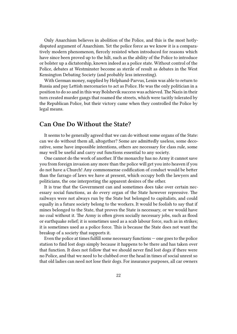Only Anarchism believes in abolition of the Police, and this is the most hotlydisputed argument of Anarchism. Yet the police force as we know it is a comparatively modern phenomenon, fiercely resisted when introduced for reasons which have since been proved up to the hilt, such as the ability of the Police to introduce or bolster up a dictatorship, known indeed as a police state. Without control of the Police, debates at Westminster become as sterile of result as debates in the West Kensington Debating Society (and probably less interesting).

With German money, supplied by Helphand-Parvus, Lenin was able to return to Russia and pay Lettish mercenaries to act as Police. He was the only politician in a position to do so and in this way Bolshevik success was achieved. The Nazis in their turn created murder gangs that roamed the streets, which were tacitly tolerated by the Republican Police, but their victory came when they controlled the Police by legal means.

#### <span id="page-21-0"></span>**Can One Do Without the State?**

It seems to be generally agreed that we can do without some organs of the State: can we do without them all, altogether? Some are admittedly useless, some decorative, some have impossible intentions, others are necessary for class rule, some may well be useful and carry out functions essential to any society.

One cannot do the work of another. If the monarchy has no Army it cannot save you from foreign invasion any more than the police will get you into heaven if you do not have a Church! Any commonsense codification of conduct would be better than the farrago of laws we have at present, which occupy both the lawyers and politicians, the one interpreting the apparent desires of the other.

It is true that the Government can and sometimes does take over certain necessary social functions, as do every organ of the State however repressive. The railways were not always run by the State but belonged to capitalists, and could equally in a future society belong to the workers. It would be foolish to say that if mines belonged to the State, that proves the State is necessary, or we would have no coal without it. The Army is often given socially necessary jobs, such as flood or earthquake relief; it is sometimes used as a scab labour force, such as in strikes; it is sometimes used as a police force. This is because the State does not want the breakup of a society that supports it.

Even the police at times fulfill some necessary functions — one goes to the police station to find lost dogs simply because it happens to be there and has taken over that function. It does not follow that we should never find lost dogs if there were no Police, and that we need to be clubbed over the head in times of social unrest so that old ladies can need not lose their dogs. For insurance purposes, all car owners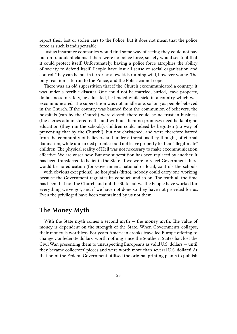report their lost or stolen cars to the Police, but it does not mean that the police force as such is indispensable.

Just as insurance companies would find some way of seeing they could not pay out on fraudulent claims if there were no police force, society would see to it that it could protect itself. Unfortunately, having a police force atrophies the ability of society to defend itself. People have lost all sense of social organisation and control. They can be put in terror by a few kids running wild, however young. The only reaction is to run to the Police, and the Police cannot cope.

There was an old superstition that if the Church excommunicated a country, it was under a terrible disaster. One could not be married, buried, leave property, do business in safety, be educated, be tended while sick, in a country which was excommunicated. The superstition was not an idle one, so long as people believed in the Church. If the country was banned from the communion of believers, the hospitals (run by the Church) were closed; there could be no trust in business (the clerics administered oaths and without them no promises need be kept); no education (they ran the schools); children could indeed be begotten (no way of preventing that by the Church!), but not christened, and were therefore barred from the community of believers and under a threat, as they thought, of eternal damnation, while unmarried parents could not leave property to their "illegitimate" children. The physical reality of Hell was not necessary to make excommunication effective. We are wiser now. But one superstition has been replaced by another. It has been transferred to belief in the State. If we were to reject Government there would be no education (for Government, national or local, controls the schools — with obvious exceptions), no hospitals (ditto), nobody could carry one working because the Government regulates its conduct, and so on. The truth all the time has been that not the Church and not the State but we the People have worked for everything we've got, and if we have not done so they have not provided for us. Even the privileged have been maintained by us not them.

#### <span id="page-22-0"></span>**The Money Myth**

With the State myth comes a second myth  $-$  the money myth. The value of money is dependent on the strength of the State. When Governments collapse, their money is worthless. For years American crooks travelled Europe offering to change Confederate dollars, worth nothing since the Southern States had lost the Civil War, presenting them to unsuspecting Europeans as valid U.S. dollars — until they became collectors' pieces and were worth more than several U.S. dollars! At that point the Federal Government utilised the original printing plants to publish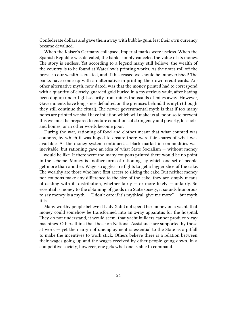Confederate dollars and gave them away with bubble-gum, lest their own currency became devalued.

When the Kaiser's Germany collapsed, Imperial marks were useless. When the Spanish Republic was defeated, the banks simply canceled the value of its money. The story is endless. Yet according to a legend many still believe, the wealth of the country is to be found at Waterlow's printing works. As the notes roll off the press, so our wealth is created, and if this ceased we should be impoverished! The banks have come up with an alternative in printing their own credit cards. Another alternative myth, now dated, was that the money printed had to correspond with a quantity of closely-guarded gold buried in a mysterious vault, after having been dug up under tight security from mines thousands of miles away. However, Governments have long since defaulted on the premises behind this myth (though they still continue the ritual). The newer governmental myth is that if too many notes are printed we shall have inflation which will make us all poor, so to prevent this we must be prepared to endure conditions of stringency and poverty, lose jobs and homes, or in other words become poor.

During the war, rationing of food and clothes meant that what counted was coupons, by which it was hoped to ensure there were fair shares of what was available. As the money system continued, a black market in commodities was inevitable, but rationing gave an idea of what State Socialism — without money — would be like. If there were too many coupons printed there would be no point in the scheme. Money is another form of rationing, by which one set of people get more than another. Wage struggles are fights to get a bigger slice of the cake. The wealthy are those who have first access to slicing the cake. But neither money nor coupons make any difference to the size of the cake, they are simply means of dealing with its distribution, whether fairly  $-$  or more likely  $-$  unfairly. So essential is money to the obtaining of goods in a State society, it sounds humorous to say money is a myth  $-$  "I don't care if it's mythical, give me more"  $-$  but myth it is.

Many worthy people believe if Lady X did not spend her money on a yacht, that money could somehow be transformed into an x-ray apparatus for the hospital. They do not understand, it would seem, that yacht builders cannot produce x-ray machines. Others think that those on National Assistance are supported by those at work — yet the margin of unemployment is essential to the State as a pitfall to make the incentives to work stick. Others believe there is a relation between their wages going up and the wages received by other people going down. In a competitive society, however, one gets what one is able to command.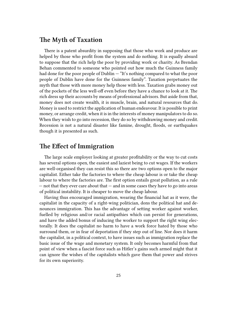#### <span id="page-24-0"></span>**The Myth of Taxation**

There is a patent absurdity in supposing that those who work and produce are helped by those who profit from the system and do nothing. It is equally absurd to suppose that the rich help the poor by providing work or charity. As Brendan Behan commented to someone who pointed out how much the Guinness family had done for the poor people of Dublin — "It's nothing compared to what the poor people of Dublin have done for the Guinness family". Taxation perpetuates the myth that those with more money help those with less. Taxation grabs money out of the pockets of the less well-off even before they have a chance to look at it. The rich dress up their accounts by means of professional advisors. But aside from that, money does not create wealth, it is muscle, brain, and natural resources that do. Money is used to restrict the application of human endeavour. It is possible to print money, or arrange credit, when it is in the interests of money manipulators to do so. When they wish to go into recession, they do so by withdrawing money and credit. Recession is not a natural disaster like famine, drought, floods, or earthquakes though it is presented as such.

#### <span id="page-24-1"></span>**The Effect of Immigration**

The large scale employer looking at greater profitability or the way to cut costs has several options open, the easiest and laziest being to cut wages. If the workers are well-organised they can resist this so there are two options open to the major capitalist. Either take the factories to where the cheap labour is or take the cheap labour to where the factories are. The first option entails great pollution, as a rule  $-$  not that they ever care about that  $-$  and in some cases they have to go into areas of political instability. It is cheaper to move the cheap labour.

Having thus encouraged immigration, wearing the financial hat as it were, the capitalist in the capacity of a right-wing politician, dons the political hat and denounces immigration. This has the advantage of setting worker against worker, fuelled by religious and/or racial antipathies which can persist for generations, and have the added bonus of inducing the worker to support the right wing electorally. It does the capitalist no harm to have a work force hated by those who surround them, or in fear of deportation if they step out of line. Nor does it harm the capitalist, in a political context, to have issues such as immigration replace the basic issue of the wage and monetary system. It only becomes harmful from that point of view when a fascist force such as Hitler's gains such armed might that it can ignore the wishes of the capitalists which gave them that power and strives for its own superiority.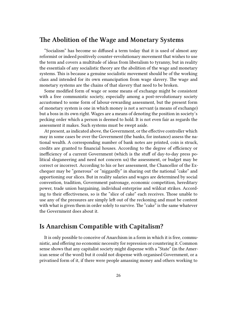#### <span id="page-25-0"></span>**The Abolition of the Wage and Monetary Systems**

"Socialism" has become so diffused a term today that it is used of almost any reformist or indeed positively counter-revolutionary movement that wishes to use the term and covers a multitude of ideas from liberalism to tyranny, but in reality the essentials of any socialistic theory are the abolition of the wage and monetary systems. This is because a genuine socialistic movement should be of the working class and intended for its own emancipation from wage slavery. The wage and monetary systems are the chains of that slavery that need to be broken.

Some modified form of wage or some means of exchange might be consistent with a free communistic society, especially among a post-revolutionary society accustomed to some form of labour-rewarding assessment, but the present form of monetary system is one in which money is not a servant (a means of exchange) but a boss in its own right. Wages are a means of denoting the position in society's pecking order which a person is deemed to hold. It is not even fair as regards the assessment it makes. Such systems must be swept aside.

At present, as indicated above, the Government, or the effective controller which may in some cases be over the Government (the banks, for instance) assess the national wealth. A corresponding number of bank notes are printed, coin is struck, credits are granted to financial houses. According to the degree of efficiency or inefficiency of a current Government (which is the stuff of day-to-day press political sloganeering and need not concern us) the assessment, or budget may be correct or incorrect. According to his or her assessment, the Chancellor of the Exchequer may be "generous" or "niggardly" in sharing out the national "cake" and apportioning our slices. But in reality salaries and wages are determined by social convention, tradition, Government patronage, economic competition, hereditary power, trade union bargaining, individual enterprise and wildcat strikes. According to their effectiveness, so is the "slice of cake" each receives. Those unable to use any of the pressures are simply left out of the reckoning and must be content with what is given them in order solely to survive. The "cake" is the same whatever the Government does about it.

#### <span id="page-25-1"></span>**Is Anarchism Compatible with Capitalism?**

It is only possible to conceive of Anarchism in a form in which it is free, communistic, and offering no economic necessity for repression or countering it. Common sense shows that any capitalist society might dispense with a "State" (in the American sense of the word) but it could not dispense with organised Government, or a privatised form of it, if there were people amassing money and others working to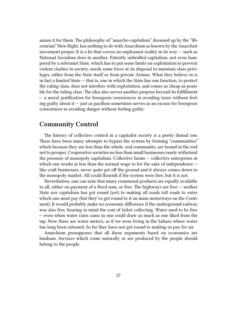amass it for them. The philosophy of "anarcho-capitalism" dreamed up by the "libertarian" New Right, has nothing to do with Anarchism as known by the Anarchist movement proper. It is a lie that covers an unpleasant reality in its way  $-$  such as National Socialism does in another. Patently unbridled capitalism, not even hampered by a reformist State, which has to put some limits on exploitation to prevent violent clashes in society, needs some force at its disposal to maintain class privileges, either from the State itself or from private Armies. What they believe in is in fact a limited State — that is, one in which the State has one function, to protect the ruling class, does not interfere with exploitation, and comes as cheap as possible for the ruling class. The idea also serves another purpose beyond its fulfillment — a moral justification for bourgeois consciences in avoiding taxes without feeling guilty about it  $-$  just as pacifism sometimes serves as an excuse for bourgeois consciences in avoiding danger without feeling guilty.

#### **Community Control**

The history of collective control in a capitalist society is a pretty dismal one. There have been many attempts to bypass the system by forming "communities" which because they are less than the whole, real community, are bound in the end not to prosper. Cooperative societies no less than small businesses rarely withstand the pressure of monopoly capitalism. Collective farms — collective enterprises at which one works at less than the normal wage to for the sake of independence – like craft businesses, never quite get off the ground and it always comes down to the monopoly market. All could flourish if the system were free, but it is not.

Nevertheless, one can note that many communal products are equally available to all, either on payment of a fixed sum, or free. The highways are free — neither State nor capitalism has got round (yet) to making all roads toll roads to enter which one must pay (but they've got round to it on main motorways on the Continent). It would probably make no economic difference if the underground railway was also free, bearing in mind the cost of ticket collecting. Water used to be free — even when water rates came in one could draw as much as one liked from the tap. Now there are water meters, as if we were living in the Sahara where water has long been rationed. So far they have not got round to making us pay for air.

Anarchism presupposes that all these arguments based on economics are bunkum. Services which come naturally or are produced by the people should belong to the people.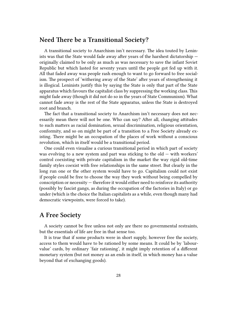#### <span id="page-27-0"></span>**Need There be a Transitional Society?**

A transitional society to Anarchism isn't necessary. The idea touted by Leninists was that the State would fade away after years of the harshest dictatorship originally claimed to be only as much as was necessary to save the infant Soviet Republic but which lasted for seventy years until the people got fed up with it. All that faded away was people rash enough to want to go forward to free socialism. The prospect of 'withering away of the State' after years of strengthening it is illogical. Leninists justify this by saying the State is only that part of the State apparatus which favours the capitalist class by suppressing the working class. This might fade away (though it did not do so in the years of State Communism). What cannot fade away is the rest of the State apparatus, unless the State is destroyed root and branch.

The fact that a transitional society to Anarchism isn't necessary does not necessarily mean there will not be one. Who can say? After all, changing attitudes to such matters as racial domination, sexual discrimination, religious orientation, conformity, and so on might be part of a transition to a Free Society already existing. There might be an occupation of the places of work without a conscious revolution, which in itself would be a transitional period.

One could even visualise a curious transitional period in which part of society was evolving to a new system and part was sticking to the old — with workers' control coexisting with private capitalism in the market the way rigid old-time family styles coexist with free relationships in the same street. But clearly in the long run one or the other system would have to go. Capitalism could not exist if people could be free to choose the way they work without being compelled by conscription or necessity — therefore it would either need to reinforce its authority (possibly by fascist gangs, as during the occupation of the factories in Italy) or go under (which is the choice the Italian capitalists as a while, even though many had democratic viewpoints, were forced to take).

#### **A Free Society**

A society cannot be free unless not only are there no governmental restraints, but the essentials of life are free in that sense too.

It is true that if some products were in short supply, however free the society, access to them would have to be rationed by some means. It could be by 'labourvalue' cards, by ordinary 'fair rationing', it might imply retention of a different monetary system (but not money as an ends in itself, in which money has a value beyond that of exchanging goods).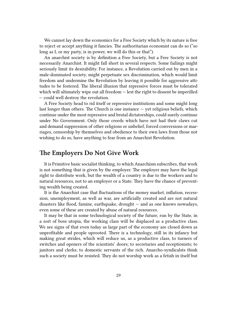We cannot lay down the economics for a Free Society which by its nature is free to reject or accept anything it fancies. The authoritarian economist can do so ("so long as I, or my party, is in power, we will do this or that").

An anarchist society is by definition a Free Society, but a Free Society is not necessarily Anarchist. It might fall short in several respects. Some failings might seriously limit its desirability. For instance, a Revolution carried out by men in a male-dominated society, might perpetuate sex discrimination, which would limit freedom and undermine the Revolution by leaving it possible for aggressive attitudes to be fostered. The liberal illusion that repressive forces must be tolerated which will ultimately wipe out all freedom — lest the right to dissent be imperilled — could well destroy the revolution.

A Free Society head to rid itself or repressive institutions and some might long last longer than others. The Church is one instance — yet religious beliefs, which continue under the most repressive and brutal dictatorships, could surely continue under No Government. Only those creeds which have not had their claws cut and demand suppression of other religions or unbelief, forced conversions or marriages, censorship by themselves and obedience to their own laws from those not wishing to do so, have anything to fear from an Anarchist Revolution.

#### <span id="page-28-0"></span>**The Employers Do Not Give Work**

It is Primitive basic socialist thinking, to which Anarchism subscribes, that work is not something that is given by the employer. The employer may have the legal right to distribute work, but the wealth of a country is due to the workers and to natural resources, not to an employer or a State. They have the chance of preventing wealth being created.

It is the Anarchist case that fluctuations of the money market, inflation, recesssion, unemployment, as well as war, are artificially created and are not natural disasters like flood, famine, earthquake, drought — and as one knows nowadays, even some of these are created by abuse of natural resources.

It may be that in some technological society of the future, run by the State, in a sort of boss utopia, the working class will be displaced as a productive class. We see signs of that even today as large part of the economy are closed down as unprofitable and people uprooted. There is a technology, still in its infancy but making great strides, which will reduce us, as a productive class, to turners of switches and openers of the scientists' doors; to secretaries and receptionists; to janitors and clerks; to domestic servants of the rich. Anarcho-syndicalsts think such a society must be resisted. They do not worship work as a fetish in itself but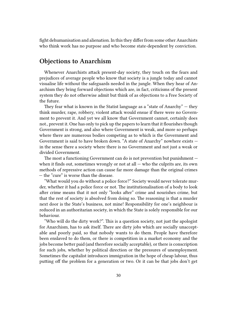fight dehumanisation and alienation. In this they differ from some other Anarchists who think work has no purpose and who become state-dependent by conviction.

#### <span id="page-29-0"></span>**Objections to Anarchism**

Whenever Anarchists attack present-day society, they touch on the fears and prejudices of average people who know that society is a jungle today and cannot visualise life without the safeguards needed in the jungle. When they hear of Anarchism they bring forward objections which are, in fact, criticisms of the present system they do not otherwise admit but think of as objections to a Free Society of the future.

They fear what is known in the Statist language as a "state of Anarchy" — they think murder, rape, robbery, violent attack would ensue if there were no Government to prevent it. And yet we all know that Government cannot, certainly does not., prevent it. One has only to pick up the papers to learn that it flourishes though Government is strong, and also where Government is weak, and more so perhaps where there are numerous bodies competing as to which is the Government and Government is said to have broken down. "A state of Anarchy" nowhere exists in the sense there a society where there is no Government and not just a weak or divided Government.

The most a functioning Government can do is not prevention but punishment when it finds out, sometimes wrongly or not at all  $-$  who the culprits are, its own methods of repressive action can cause far more damage than the original crimes — the "cure" is worse than the disease.

"What would you do without a police force?" Society would never tolerate murder, whether it had a police force or not. The institutionalisation of a body to look after crime means that it not only "looks after" crime and nourishes crime, but that the rest of society is absolved from doing so. The reasoning is that a murder next door is the State's business, not mine! Responsibility for one's neighbour is reduced in an authoritarian society, in which the State is solely responsible for our behaviour.

"Who will do the dirty work?". This is a question society, not just the apologist for Anarchism, has to ask itself. There are dirty jobs which are socially unacceptable and poorly paid, so that nobody wants to do them. People have therefore been enslaved to do them, or there is competition in a market economy and the jobs become better paid (and therefore socially acceptable), or there is conscription for such jobs, whether by political direction or the pressures of unemployment. Sometimes the capitalist introduces immigration in the hope of cheap labour, thus putting off the problem for a generation or two. Or it can be that jobs don't get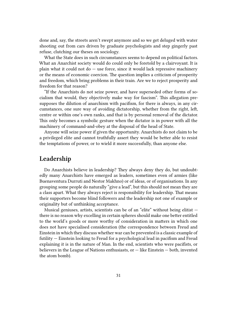done and, say, the streets aren't swept anymore and so we get deluged with water shooting out from cars driven by graduate psychologists and step gingerly past refuse, clutching our theses on sociology.

What the State does in such circumstances seems to depend on political factors. What an Anarchist society would do could only be foretold by a clairvoyant. It is plain what it could not do  $-$  use force, since it would lack repressive machinery or the means of economic coercion. The question implies a criticism of prosperity and freedom, which bring problems in their train. Are we to reject prosperity and freedom for that reason?

"If the Anarchists do not seize power, and have superseded other forms of socialism that would, they objectively make way for fascism". This allegation presupposes the dilution of anarchism with pacifism, for there is always, in any circumstances, one sure way of avoiding dictatorship, whether from the right, left, centre or within one's own ranks, and that is by personal removal of the dictator. This only becomes a symbolic gesture when the dictator is in power with all the machinery of command-and-obey at the disposal of the head of State.

Anyone will seize power if given the opportunity. Anarchists do not claim to be a privileged elite and cannot truthfully assert they would be better able to resist the temptations of power, or to wield it more successfully, than anyone else.

#### <span id="page-30-0"></span>**Leadership**

Do Anarchists believe in leadership? They always deny they do, but undoubtedly many Anarchists have emerged as leaders, sometimes even of armies (like Buenaventura Durruti and Nestor Makhno) or of ideas, or of organisations. In any grouping some people do naturally "give a lead", but this should not mean they are a class apart. What they always reject is responsibility for leadership. That means their supporters become blind followers and the leadership not one of example or originality but of unthinking acceptance.

Musical geniuses, artists, scientists can be of an "elite" without being elitist there is no reason why excelling in certain spheres should make one better entitled to the world's goods or more worthy of consideration in matters in which one does not have specialised consideration (the correspondence between Freud and Einstein in which they discuss whether war can be prevented is a classic example of futility — Einstein looking to Freud for a psychological lead in pacifism and Freud explaining it is in the nature of Man. In the end, scientists who were pacifists, or believers in the League of Nations enthusiasts, or  $-$  like Einstein  $-$  both, invented the atom bomb).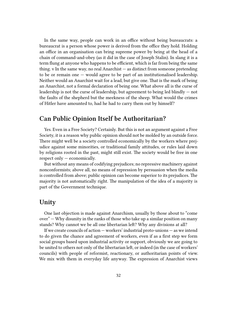In the same way, people can work in an office without being bureaucrats: a bureaucrat is a person whose power is derived from the office they hold. Holding an office in an organisation can bring supreme power by being at the head of a chain of command-and-obey (as it did in the case of Joseph Stalin). In slang it is a term flung at anyone who happens to be efficient, which is far from being the same thing. v In the same way, no real Anarchist — as distinct from someone pretending to be or remain one — would agree to be part of an institutionalised leadership. Neither would an Anarchist wait for a lead, but give one. That is the mark of being an Anarchist, not a formal declaration of being one. What above all is the curse of leadership is not the curse of leadership, but agreement to being led blindly — not the faults of the shepherd but the meekness of the sheep. What would the crimes of Hitler have amounted to, had he had to carry them out by himself?

#### <span id="page-31-0"></span>**Can Public Opinion Itself be Authoritarian?**

Yes. Even in a Free Society? Certainly. But this is not an argument against a Free Society, it is a reason why public opinion should not be molded by an outside force. There might well be a society controlled economically by the workers where prejudice against some minorities, or traditional family attitudes, or rules laid down by religions rooted in the past, might still exist. The society would be free in one respect only — economically.

But without any means of codifying prejudices; no repressive machinery against nonconformists; above all, no means of repression by persuasion when the media is controlled from above; public opinion can become superior to its prejudices. The majority is not automatically right. The manipulation of the idea of a majority is part of the Government technique.

#### <span id="page-31-1"></span>**Unity**

One last objection is made against Anarchism, usually by those about to "come over" — Why disunity in the ranks of those who take up a similar position on many stands? Why cannot we be all one libertarian left? Why any divisions at all?

If we create councils of action — workers' industrial proto-unions — as we intend to do given the chance and agreement of workers, even if as a first step we form social groups based upon industrial activity or support, obviously we are going to be united to others not only of the libertarian left, or indeed (in the case of workers' councils) with people of reformist, reactionary, or authoritarian points of view. We mix with them in everyday life anyway. The expression of Anarchist views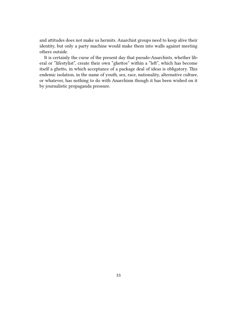and attitudes does not make us hermits. Anarchist groups need to keep alive their identity, but only a party machine would make them into walls against meeting others outside.

It is certainly the curse of the present day that pseudo-Anarchists, whether liberal or "lifestylist", create their own "ghettos" within a "left", which has become itself a ghetto, in which acceptance of a package deal of ideas is obligatory. This endemic isolation, in the name of youth, sex, race, nationality, alternative culture, or whatever, has nothing to do with Anarchism though it has been wished on it by journalistic propaganda pressure.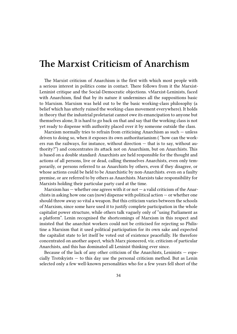### <span id="page-33-0"></span>**The Marxist Criticism of Anarchism**

The Marxist criticism of Anarchism is the first with which most people with a serious interest in politics come in contact. There follows from it the Marxist-Leninist critique and the Social-Democratic objections. vMarxist-Leninists, faced with Anarchism, find that by its nature it undermines all the suppositions basic to Marxism. Marxism was held out to be the basic working-class philosophy (a belief which has utterly ruined the working-class movement everywhere). It holds in theory that the industrial proletariat cannot owe its emancipation to anyone but themselves alone, It is hard to go back on that and say that the working class is not yet ready to dispense with authority placed over it by someone outside the class.

Marxism normally tries to refrain from criticising Anarchism as such — unless driven to doing so, when it exposes its own authoritarianism ( "how can the workers run the railways, for instance, without direction  $-$  that is to say, without authority?") and concentrates its attack not on Anarchism, but on Anarchists. This is based on a double standard: Anarchists are held responsible for the thought and actions of all persons, live or dead, calling themselves Anarchists, even only temporarily, or persons referred to as Anarchists by others, even if they disagree, or whose actions could be held to be Anarchistic by non-Anarchists. even on a faulty premise, or are referred to by others as Anarchists. Marxists take responsibility for Marxists holding their particular party card at the time.

Marxism has  $-$  whether one agrees with it or not  $-$  a valid criticism of the Anarchists in asking how one can (now) dispense with political action  $-$  or whether one should throw away so vital a weapon. But this criticism varies between the schools of Marxism, since some have used it to justify complete participation in the whole capitalist power structure, while others talk vaguely only of "using Parliament as a platform". Lenin recognised the shortcomings of Marxism in this respect and insisted that the anarchist workers could not be criticised for rejecting so Philistine a Marxism that it used political participation for its own sake and expected the capitalist state to let itself be voted out of existence peacefully. He therefore concentrated on another aspect, which Marx pioneered, viz. criticism of particular Anarchists, and this has dominated all Leninist thinking ever since.

Because of the lack of any other criticism of the Anarchists, Leninists — especially Trotskyists — to this day use the personal criticism method. But as Lenin selected only a few well-known personalities who for a few years fell short of the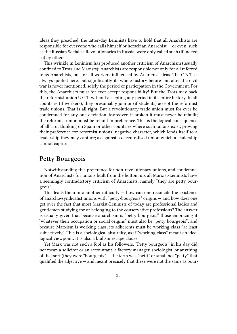ideas they preached, the latter-day Leninists have to hold that all Anarchists are responsible for everyone who calls himself or herself an Anarchist — or even, such as the Russian Socialist-Revolutionaries in Russia, were only called such (if indeed so) by others.

This wrinkle in Leninism has produced another criticism of Anarchism (usually confined to Trots and Maoists); Anarchists are responsible not only for all referred to as Anarchists, but for all workers influenced by Anarchist ideas. The C.N.T. is always quoted here, but significantly its whole history before and after the civil war is never mentioned, solely the period of participation in the Government. For this, the Anarchists must for ever accept responsibility! But the Trots may back the reformist union U.G.T. without accepting any period in its entire history. In all countries (if workers), they presumably join or (if students) accept the reformist trade unions. That is all right. But a revolutionary trade union must for ever be condemned for any one deviation. Moreover, if broken it must never be rebuilt; the reformist union must be rebuilt in preference. This is the logical consequence of all Trot thinking on Spain or other countries where such unions exist, proving their preference for reformist unions' negative character, which lends itself to a leadership they may capture; as against a decentralised union which a leadership cannot capture.

#### <span id="page-34-0"></span>**Petty Bourgeois**

Notwithstanding this preference for non-revolutionary unions, and condemnation of Anarchists for unions built from the bottom up, all Marxist-Leninists have a seemingly contradictory criticism of Anarchists, namely "they are petty bourgeois".

This leads them into another difficulty  $-$  how can one reconcile the existence of anarcho-syndicalist unions with "petty-bourgeois" origins — and how does one get over the fact that most Marxist-Leninists of today are professional ladies and gentlemen studying for or belonging to the conservative professions? The answer is usually given that because anarchism is "petty bourgeois" those embracing it "whatever their occupation or social origins" must also be "petty bourgeois"; and because Marxism is working class, its adherents must be working class "at least subjectively". This is a sociological absurdity, as if "working class" meant an ideological viewpoint. It is also a built-in escape clause.

Yet Marx was not such a fool as his followers. "Petty bourgeois" in his day did not mean a solicitor or an accountant, a factory manager, sociologist ,or anything of that sort (they were "bourgeois" — the term was "petit" or small not "petty" that qualified the adjective — and meant precisely that these were not the same as bour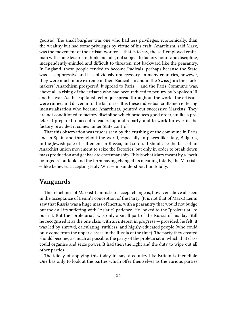geoisie). The small burgher was one who had less privileges, economically, than the wealthy but had some privileges by virtue of his craft. Anarchism, said Marx, was the movement of the artisan worker — that is to say, the self-employed craftsman with some leisure to think and talk, not subject to factory hours and discipline, independently-minded and difficult to threaten, not backward like the peasantry. In England, these people tended to become Radicals, perhaps because the State was less oppressive and less obviously unnecessary. In many countries, however, they were much more extreme in their Radicalism and in the Swiss Jura the clockmakers' Anarchism prospered. It spread to Paris — and the Paris Commune was, above all, a rising of the artisans who had been reduced to penury by Napoleon III and his war. As the capitalist technique spread throughout the world, the artisans were ruined and driven into the factories. It is these individual craftsmen entering industrialisation who became Anarchists, pointed out successive Marxists. They are not conditioned to factory discipline which produces good order, unlike a proletariat prepared to accept a leadership and a party, and to work for ever in the factory provided it comes under State control.

That this observation was true is seen by the crushing of the commune in Paris and in Spain and throughout the world, especially in places like Italy, Bulgaria, in the Jewish pale of settlement in Russia, and so on. It should be the task of an Anarchist union movement to seize the factories, but only in order to break down mass production and get back to craftsmanship.This is what Marx meant by a "petit bourgeois" outlook and the term having changed its meaning totally, the Marxists — like believers accepting Holy Writ — misunderstood him totally.

#### <span id="page-35-0"></span>**Vanguards**

The reluctance of Marxist-Leninists to accept change is, however, above all seen in the acceptance of Lenin's conception of the Party. (It is not that of Marx.) Lenin saw that Russia was a huge mass of inertia, with a peasantry that would not budge but took all its suffering with "Asiatic" patience. He looked to the "proletariat" to push it. But the "proletariat" was only a small part of the Russia of his day. Still he recognised it as the one class with an interest in progress — provided, he felt, it was led by shrewd, calculating, ruthless, and highly-educated people (who could only come from the upper classes in the Russia of the time). The party they created should become, as much as possible, the party of the proletariat in which that class could organise and seize power. It had then the right and the duty to wipe out all other parties.

The idiocy of applying this today in, say, a country like Britain is incredible. One has only to look at the parties which offer themselves as the various parties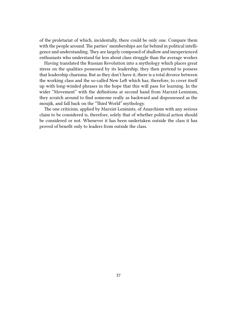of the proletariat of which, incidentally, there could be only one. Compare them with the people around. The parties' memberships are far behind in political intelligence and understanding. They are largely composed of shallow and inexperienced enthusiasts who understand far less about class struggle than the average worker.

Having translated the Russian Revolution into a mythology which places great stress on the qualities possessed by its leadership, they then pretend to possess that leadership charisma. But as they don't have it, there is a total divorce between the working class and the so-called New Left which has, therefore, to cover itself up with long-winded phrases in the hope that this will pass for learning. In the wider "Movement" with the definitions at second hand from Marxist-Leninism, they scratch around to find someone really as backward and dispossessed as the moujik, and fall back on the "Third World" mythology.

The one criticism, applied by Marxist-Leninists, of Anarchism with any serious claim to be considered is, therefore, solely that of whether political action should be considered or not. Whenever it has been undertaken outside the class it has proved of benefit only to leaders from outside the class.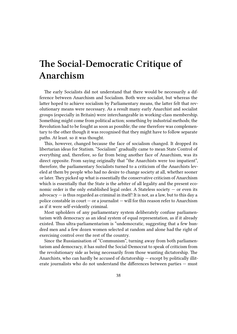## <span id="page-37-0"></span>**The Social-Democratic Critique of Anarchism**

The early Socialists did not understand that there would be necessarily a difference between Anarchism and Socialism. Both were socialist, but whereas the latter hoped to achieve socialism by Parliamentary means, the latter felt that revolutionary means were necessary. As a result many early Anarchist and socialist groups (especially in Britain) were interchangeable in working-class membership. Something might come from political action; something by industrial methods; the Revolution had to be fought as soon as possible; the one therefore was complementary to the other though it was recognised that they might have to follow separate paths. At least. so it was thought.

This, however, changed because the face of socialism changed. It dropped its libertarian ideas for Statism. "Socialism" gradually came to mean State Control of everything and, therefore, so far from being another face of Anarchism, was its direct opposite. From saying originally that "the Anarchists were too impatient", therefore, the parliamentary Socialists turned to a criticism of the Anarchists leveled at them by people who had no desire to change society at all, whether sooner or later. They picked up what is essentially the conservative criticism of Anarchism which is essentially that the State is the arbiter of all legality and the present economic order is the only established legal order. A Stateless society  $-$  or even its advocacy  $-$  is thus regarded as criminal in itself! It is not, as a law, but to this day a police constable in court — or a journalist — will for this reason refer to Anarchism as if it were self-evidently criminal.

Most upholders of any parliamentary system deliberately confuse parliamentarism with democracy as an ideal system of equal representation, as if it already existed. Thus ultra-parliamentarism is "undemocratic, suggesting that a few hundred men and a few dozen women selected at random and alone had the right of exercising control over the rest of the country.

Since the Russianisation of "Communism", turning away from both parliamentarism and democracy, it has suited the Social-Democrat to speak of criticism from the revolutionary side as being necessarily from those wanting dictatorship. The Anarchists, who can hardly be accused of dictatorship — except by politically illiterate journalists who do not understand the differences between parties — must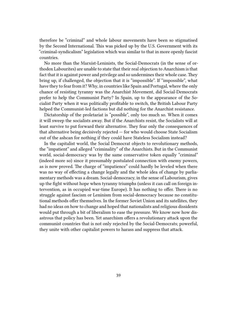therefore be "criminal" and whole labour movements have been so stigmatised by the Second International. This was picked up by the U.S. Government with its "criminal-syndicalism" legislation which was similar to that in more openly fascist countries.

No more than the Marxist-Leninists, the Social-Democrats (in the sense of orthodox Labourites) are unable to state that their real objection to Anarchism is that fact that it is against power and privilege and so undermines their whole case. They bring up, if challenged, the objection that it is "impossible". If "impossible", what have they to fear from it? Why, in countries like Spain and Portugal, where the only chance of resisting tyranny was the Anarchist Movement, did Social-Democrats prefer to help the Communist Party? In Spain, up to the appearance of the Socialist Party when it was politically profitable to switch, the British Labour Party helped the Communist-led factions but did nothing for the Anarchist resistance.

Dictatorship of the proletariat is "possible", only too much so. When it comes it will sweep the socialists away. But if the Anarchists resist, the Socialists will at least survive to put forward their alternative. They fear only the consequences of that alternative being decisively rejected — for who would choose State Socialism out of the ashcan for nothing if they could have Stateless Socialism instead?

In the capitalist world, the Social Democrat objects to revolutionary methods, the "impatient" and alleged "criminality" of the Anarchists. But in the Communist world, social-democracy was by the same conservative token equally "criminal" (indeed more so) since it presumably postulated connection with enemy powers, as is now proved. The charge of "impatience" could hardly be leveled when there was no way of effecting a change legally and the whole idea of change by parliamentary methods was a dream. Social-democracy, in the sense of Labourism, gives up the fight without hope when tyranny triumphs (unless it can call on foreign intervention, as in occupied war-time Europe). It has nothing to offer. There is no struggle against fascism or Leninism from social-democracy because no constitutional methods offer themselves. In the former Soviet Union and its satellites, they had no ideas on how to change and hoped that nationalists and religious dissidents would put through a bit of liberalism to ease the pressure. We know now how disastrous that policy has been. Yet anarchism offers a revolutionary attack upon the communist countries that is not only rejected by the Social-Democrats; powerful, they unite with other capitalist powers to harass and suppress that attack.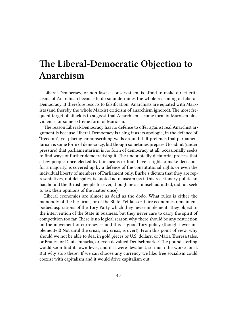## <span id="page-39-0"></span>**The Liberal-Democratic Objection to Anarchism**

Liberal-Democracy, or non-fascist conservatism, is afraid to make direct criticisms of Anarchism because to do so undermines the whole reasoning of Liberal-Democracy. It therefore resorts to falsification: Anarchists are equated with Marxists (and thereby the whole Marxist criticism of anarchism ignored). The most frequent target of attack is to suggest that Anarchism is some form of Marxism plus violence, or some extreme form of Marxism.

The reason Liberal-Democracy has no defence to offer against real Anarchist argument is because Liberal-Democracy is using it as its apologia, in the defence of "freedom", yet placing circumscribing walls around it. It pretends that parliamentarism is some form of democracy, but though sometimes prepared to admit (under pressure) that parliamentarism is no form of democracy at all, occasionally seeks to find ways of further democratising it. The undoubtedly dictatorial process that a few people, once elected by fair means or foul, have a right to make decisions for a majority, is covered up by a defence of the constitutional rights or even the individual liberty of members of Parliament only. Burke's dictum that they are representatives, not delegates, is quoted ad nauseam (as if this reactionary politician had bound the British people for ever, though he as himself admitted, did not seek to ask their opinions of the matter once).

Liberal economics are almost as dead as the dodo. What rules is either the monopoly of the big firms, or of the State. Yet laissez-faire economics remain embodied aspirations of the Tory Party which they never implement. They object to the intervention of the State in business, but they never care to carry the spirit of competition too far. There is no logical reason why there should be any restriction on the movement of currency  $-$  and this is good Tory policy (though never implemented! Not until the crisis, any crisis, is over!). From this point of view, why should we not be able to deal in gold pieces or U.S. dollars, or Maria Theresa tales, or Francs, or Deutschmarks, or even devalued Deutschmarks? The pound sterling would soon find its own level, and if it were devalued, so much the worse for it. But why stop there? If we can choose any currency we like, free socialism could coexist with capitalism and it would drive capitalism out.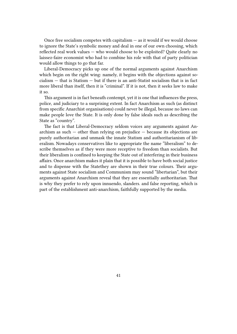Once free socialism competes with capitalism  $-$  as it would if we would choose to ignore the State's symbolic money and deal in one of our own choosing, which reflected real work values — who would choose to be exploited? Quite clearly no laissez-faire economist who had to combine his role with that of party politician would allow things to go that far.

Liberal-Democracy picks up one of the normal arguments against Anarchism which begin on the right wing: namely, it begins with the objections against socialism — that is Statism — but if there is an anti-Statist socialism that is in fact more liberal than itself, then it is "criminal". If it is not, then it seeks law to make it so.

This argument is in fact beneath contempt, yet it is one that influences the press, police, and judiciary to a surprising extent. In fact Anarchism as such (as distinct from specific Anarchist organisations) could never be illegal, because no laws can make people love the State. It is only done by false ideals such as describing the State as "country".

The fact is that Liberal-Democracy seldom voices any arguments against Anarchism as such  $-$  other than relying on prejudice  $-$  because its objections are purely authoritarian and unmask the innate Statism and authoritarianism of liberalism. Nowadays conservatives like to appropriate the name "liberalism" to describe themselves as if they were more receptive to freedom than socialists. But their liberalism is confined to keeping the State out of interfering in their business affairs. Once anarchism makes it plain that it is possible to have both social justice and to dispense with the Statethey are shown in their true colours. Their arguments against State socialism and Communism may sound "libertarian", but their arguments against Anarchism reveal that they are essentially authoritarian. That is why they prefer to rely upon innuendo, slanders. and false reporting, which is part of the establishment anti-anarchism, faithfully supported by the media.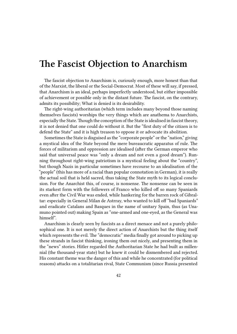### <span id="page-41-0"></span>**The Fascist Objection to Anarchism**

The fascist objection to Anarchism is, curiously enough, more honest than that of the Marxist, the liberal or the Social-Democrat. Most of these will say, if pressed, that Anarchism is an ideal, perhaps imperfectly understood, but either impossible of achievement or possible only in the distant future. The fascist, on the contrary, admits its possibility; What is denied is its desirability.

The right-wing authoritarian (which term includes many beyond those naming themselves fascists) worships the very things which are anathema to Anarchists, especially the State.Though the conception of the State is idealised in fascist theory, it is not denied that one could do without it. But the "first duty of the citizen is to defend the State" and it is high treason to oppose it or advocate its abolition.

Sometimes the State is disguised as the "corporate people" or the "nation," giving a mystical idea of the State beyond the mere bureaucratic apparatus of rule. The forces of militarism and oppression are idealised (after the German emperor who said that universal peace was "only a dream and not even a good dream"). Running throughout right-wing patriotism is a mystical feeling about the "country", but though Nazis in particular sometimes have recourse to an idealisation of the "people" (this has more of a racial than popular connotation in German), it is really the actual soil that is held sacred, thus taking the State myth to its logical conclusion. For the Anarchist this, of course, is nonsense. The nonsense can be seen in its starkest form with the followers of Franco who killed off so many Spaniards even after the Civil War was ended, while hankering for the barren rock of Gibraltar: especially in General Milan de Astrray, who wanted to kill off "bad Spaniards" and eradicate Catalans and Basques in the name of unitary Spain, thus (as Unamuno pointed out) making Spain as "one-armed and one-eyed, as the General was himself".

Anarchism is clearly seen by fascists as a direct menace and not a purely philosophical one. It is not merely the direct action of Anarchists but the thing itself which represents the evil. The "democratic" media finally got around to picking up these strands in fascist thinking, ironing them out nicely, and presenting them in the "news" stories. Hitler regarded the Authoritarian State he had built as millennial (the thousand-year state) but he knew it could be dismembered and rejected. His constant theme was the danger of this and while he concentrated (for political reasons) attacks on a totalitarian rival, State Communism (since Russia presented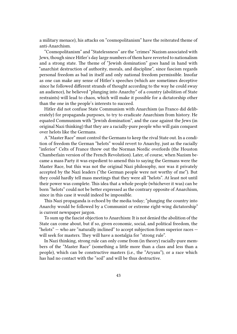a military menace), his attacks on "cosmopolitanism" have the reiterated theme of anti-Anarchism.

"Cosmopolitanism" and "Statelessness" are the "crimes" Nazism associated with Jews, though since Hitler's day large numbers of them have reverted to nationalism and a strong state. The theme of "Jewish domination" goes hand in hand with "anarchist destruction of authority, morals, and discipline", since fascism regards personal freedom as bad in itself and only national freedom permissible. Insofar as one can make any sense of Hitler's speeches (which are sometimes deceptive since he followed different strands of thought according to the way he could sway an audience), he believed "plunging into Anarchy" of a country (abolition of State restraints) will lead to chaos, which will make it possible for a dictatorship other than the one in the people's interests to succeed.

Hitler did not confuse State Communism with Anarchism (as Franco did deliberately) for propaganda purposes, to try to eradicate Anarchism from history. He equated Communism with "Jewish domination", and the case against the Jews (in original Nazi thinking) that they are a racially-pure people who will gain conquest over helots like the Germans.

A "Master Race" must control the Germans to keep the rival State out. In a condition of freedom the German "helots" would revert to Anarchy, just as the racially "inferior" Celts of France threw out the Norman Nordic overlords (the Houston Chamberlain version of the French Revolution). Later, of course, when Nazism became a mass Party it was expedient to amend this to saying the Germans were the Master Race, but this was not the original Nazi philosophy, nor was it privately accepted by the Nazi leaders ("the German people were not worthy of me"). But they could hardly tell mass meetings that they were all "helots". At least not until their power was complete. This idea that a whole people (whichever it was) can be born "helots" could not be better expressed as the contrary opposite of Anarchism, since in this case it would indeed be impossible.

This Nazi propaganda is echoed by the media today; "plunging the country into Anarchy would be followed by a Communist or extreme right-wing dictatorship" is current newspaper jargon.

To sum up the fascist objection to Anarchism: It is not denied the abolition of the State can come about, but if so, given economic, social, and political freedom, the "helots" — who are "naturally inclined" to accept subjection from superior races  $$ will seek for masters. They will have a nostalgia for "strong rule".

In Nazi thinking, strong rule can only come from (in theory) racially-pure members of the "Master Race" (something a little more than a class and less than a people), which can be constructive masters (i.e., the "Aryans"), or a race which has had no contact with the "soil" and will be thus destructive.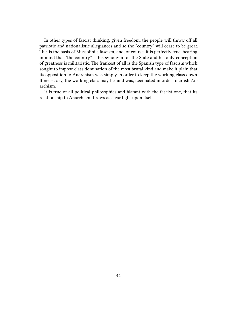In other types of fascist thinking, given freedom, the people will throw off all patriotic and nationalistic allegiances and so the "country" will cease to be great. This is the basis of Mussolini's fascism, and, of course, it is perfectly true, bearing in mind that "the country" is his synonym for the State and his only conception of greatness is militaristic. The frankest of all is the Spanish type of fascism which sought to impose class domination of the most brutal kind and make it plain that its opposition to Anarchism was simply in order to keep the working class down. If necessary, the working class may be, and was, decimated in order to crush Anarchism.

It is true of all political philosophies and blatant with the fascist one, that its relationship to Anarchism throws as clear light upon itself!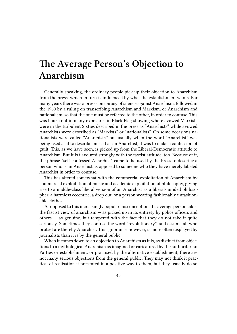## **The Average Person's Objection to Anarchism**

Generally speaking, the ordinary people pick up their objection to Anarchism from the press, which in turn is influenced by what the establishment wants. For many years there was a press conspiracy of silence against Anarchism, followed in the 1960 by a ruling on transcribing Anarchism and Marxism, or Anarchism and nationalism, so that the one must be referred to the other, in order to confuse. This was bourn out in many exposures in Black Flag showing where avowed Marxists were in the turbulent Sixties described in the press as "Anarchists" while avowed Anarchists were described as "Marxists" or "nationalists". On some occasions nationalists were called "Anarchists," but usually when the word "Anarchist" was being used as if to describe oneself as an Anarchist, it was to make a confession of guilt. This, as we have seen, is picked up from the Liberal-Democratic attitude to Anarchism. But it is flavoured strongly with the fascist attitude, too. Because of it, the phrase "self-confessed Anarchist" came to be used by the Press to describe a person who is an Anarchist as opposed to someone who they have merely labeled Anarchist in order to confuse.

This has altered somewhat with the commercial exploitation of Anarchism by commercial exploitation of music and academic exploitation of philosophy, giving rise to a middle-class liberal version of an Anarchist as a liberal-minded philosopher, a harmless eccentric, a drop out, or a person wearing fashionably unfashionable clothes.

As opposed to this increasingly popular misconception, the average person takes the fascist view of anarchism  $-$  as picked up in its entirety by police officers and others — as genuine, but tempered with the fact that they do not take it quite seriously. Sometimes they confuse the word "revolutionary", and assume all who protest are thereby Anarchist. This ignorance, however, is more often displayed by journalists than it is by the general public.

When it comes down to an objection to Anarchism as it is, as distinct from objections to a mythological Anarchism as imagined or caricatured by the authoritarian Parties or establishment, or practised by the alternative establishment, there are not many serious objections from the general public. They may not think it practical of realisation if presented in a positive way to them, but they usually do so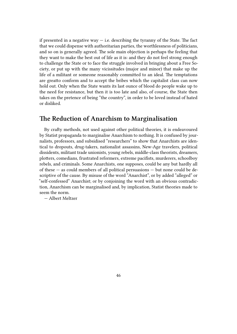if presented in a negative way  $-$  i.e. describing the tyranny of the State. The fact that we could dispense with authoritarian parties, the worthlessness of politicians, and so on is generally agreed. The sole main objection is perhaps the feeling that they want to make the best out of life as it is: and they do not feel strong enough to challenge the State or to face the struggle involved in bringing about a Free Society, or put up with the many vicissitudes (major and minor) that make up the life of a militant or someone reasonably committed to an ideal. The temptations are greatto conform and to accept the bribes which the capitalist class can now hold out. Only when the State wants its last ounce of blood do people wake up to the need for resistance, but then it is too late and also, of course, the State then takes on the pretence of being "the country", in order to be loved instead of hated or disliked.

#### **The Reduction of Anarchism to Marginalisation**

By crafty methods, not used against other political theories, it is endeavoured by Statist propaganda to marginalise Anarchism to nothing. It is confused by journalists, professors, and subsidised "researchers" to show that Anarchists are identical to dropouts, drug-takers, nationalist assassins, New-Age travelers, political dissidents, militant trade unionists, young rebels, middle-class theorists, dreamers, plotters, comedians, frustrated reformers, extreme pacifists, murderers, schoolboy rebels, and criminals. Some Anarchists, one supposes, could be any but hardly all of these — as could members of all political persuasions — but none could be descriptive of the cause. By misuse of the word "Anarchist", or by added "alleged" or "self-confessed" Anarchist; or by conjoining the word with an obvious contradiction, Anarchism can be marginalised and, by implication, Statist theories made to seem the norm.

— Albert Meltzer